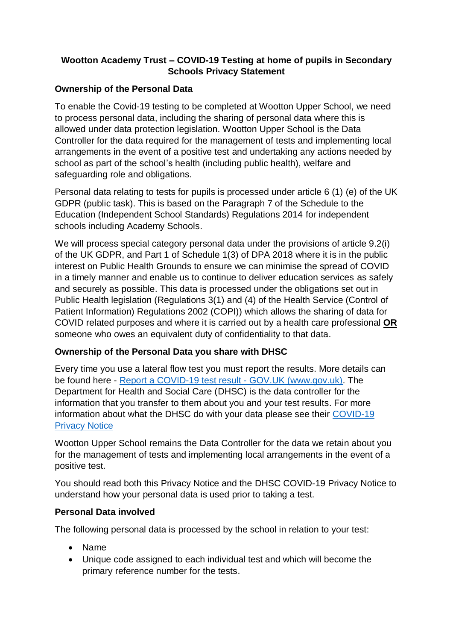# **Wootton Academy Trust – COVID-19 Testing at home of pupils in Secondary Schools Privacy Statement**

## **Ownership of the Personal Data**

To enable the Covid-19 testing to be completed at Wootton Upper School, we need to process personal data, including the sharing of personal data where this is allowed under data protection legislation. Wootton Upper School is the Data Controller for the data required for the management of tests and implementing local arrangements in the event of a positive test and undertaking any actions needed by school as part of the school's health (including public health), welfare and safeguarding role and obligations.

Personal data relating to tests for pupils is processed under article 6 (1) (e) of the UK GDPR (public task). This is based on the Paragraph 7 of the Schedule to the Education (Independent School Standards) Regulations 2014 for independent schools including Academy Schools.

We will process special category personal data under the provisions of article 9.2(i) of the UK GDPR, and Part 1 of Schedule 1(3) of DPA 2018 where it is in the public interest on Public Health Grounds to ensure we can minimise the spread of COVID in a timely manner and enable us to continue to deliver education services as safely and securely as possible. This data is processed under the obligations set out in Public Health legislation (Regulations 3(1) and (4) of the Health Service (Control of Patient Information) Regulations 2002 (COPI)) which allows the sharing of data for COVID related purposes and where it is carried out by a health care professional **OR** someone who owes an equivalent duty of confidentiality to that data.

# **Ownership of the Personal Data you share with DHSC**

Every time you use a lateral flow test you must report the results. More details can be found here - Report a COVID-19 test result - [GOV.UK \(www.gov.uk\).](https://www.gov.uk/report-covid19-result) The Department for Health and Social Care (DHSC) is the data controller for the information that you transfer to them about you and your test results. For more information about what the DHSC do with your data please see their [COVID-19](https://www.gov.uk/government/publications/coronavirus-covid-19-testing-privacy-information)  [Privacy Notice](https://www.gov.uk/government/publications/coronavirus-covid-19-testing-privacy-information)

Wootton Upper School remains the Data Controller for the data we retain about you for the management of tests and implementing local arrangements in the event of a positive test.

You should read both this Privacy Notice and the DHSC COVID-19 Privacy Notice to understand how your personal data is used prior to taking a test.

## **Personal Data involved**

The following personal data is processed by the school in relation to your test:

- Name
- Unique code assigned to each individual test and which will become the primary reference number for the tests.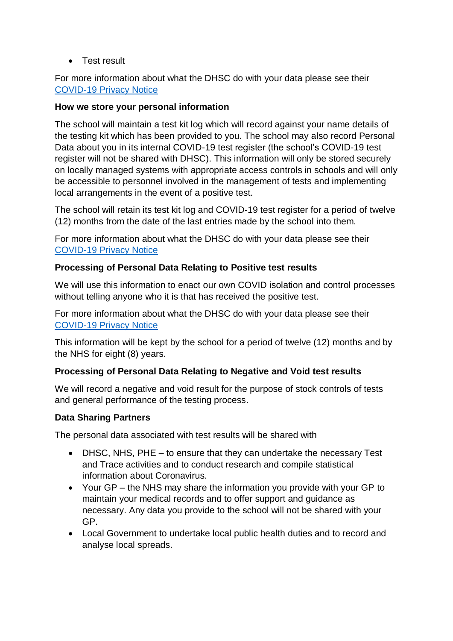• Test result

For more information about what the DHSC do with your data please see their [COVID-19 Privacy Notice](https://www.gov.uk/government/publications/coronavirus-covid-19-testing-privacy-information)

### **How we store your personal information**

The school will maintain a test kit log which will record against your name details of the testing kit which has been provided to you. The school may also record Personal Data about you in its internal COVID-19 test register (the school's COVID-19 test register will not be shared with DHSC). This information will only be stored securely on locally managed systems with appropriate access controls in schools and will only be accessible to personnel involved in the management of tests and implementing local arrangements in the event of a positive test.

The school will retain its test kit log and COVID-19 test register for a period of twelve (12) months from the date of the last entries made by the school into them.

For more information about what the DHSC do with your data please see their [COVID-19 Privacy Notice](https://www.gov.uk/government/publications/coronavirus-covid-19-testing-privacy-information)

### **Processing of Personal Data Relating to Positive test results**

We will use this information to enact our own COVID isolation and control processes without telling anyone who it is that has received the positive test.

For more information about what the DHSC do with your data please see their [COVID-19 Privacy Notice](https://www.gov.uk/government/publications/coronavirus-covid-19-testing-privacy-information)

This information will be kept by the school for a period of twelve (12) months and by the NHS for eight (8) years.

#### **Processing of Personal Data Relating to Negative and Void test results**

We will record a negative and void result for the purpose of stock controls of tests and general performance of the testing process.

#### **Data Sharing Partners**

The personal data associated with test results will be shared with

- DHSC, NHS, PHE to ensure that they can undertake the necessary Test and Trace activities and to conduct research and compile statistical information about Coronavirus.
- Your GP the NHS may share the information you provide with your GP to maintain your medical records and to offer support and guidance as necessary. Any data you provide to the school will not be shared with your GP.
- Local Government to undertake local public health duties and to record and analyse local spreads.